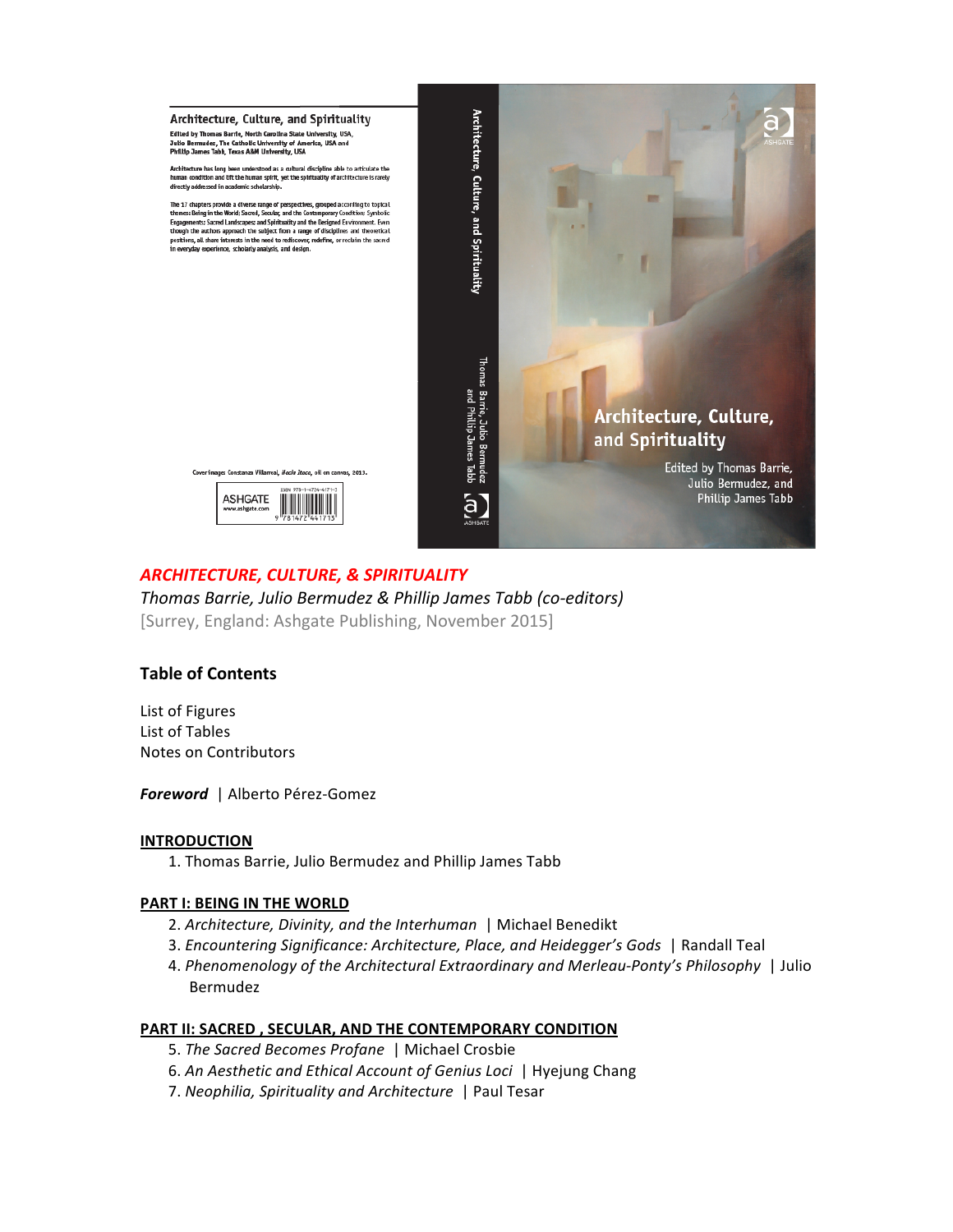

# **ARCHITECTURE, CULTURE, & SPIRITUALITY**

Thomas Barrie, Julio Bermudez & Phillip James Tabb (co-editors) [Surrey, England: Ashgate Publishing, November 2015]

## **Table of Contents**

List of Figures List!of!Tables Notes on Contributors

**Foreword** | Alberto Pérez-Gomez

## **INTRODUCTION**

1. Thomas Barrie, Julio Bermudez and Phillip James Tabb

## **PART I: BEING IN THE WORLD**

- 2. Architecture, Divinity, and the Interhuman | Michael Benedikt
- 3. *Encountering Significance: Architecture, Place, and Heidegger's Gods* | Randall Teal
- 4. Phenomenology of the Architectural Extraordinary and Merleau-Ponty's Philosophy | Julio Bermudez!

## **PART II: SACRED, SECULAR, AND THE CONTEMPORARY CONDITION**

- 5. The Sacred Becomes Profane | Michael Crosbie
- 6.!*An'Aesthetic'and'Ethical'Account'of'Genius'Loci'* |!Hyejung!Chang
- 7. Neophilia, Spirituality and Architecture | Paul Tesar